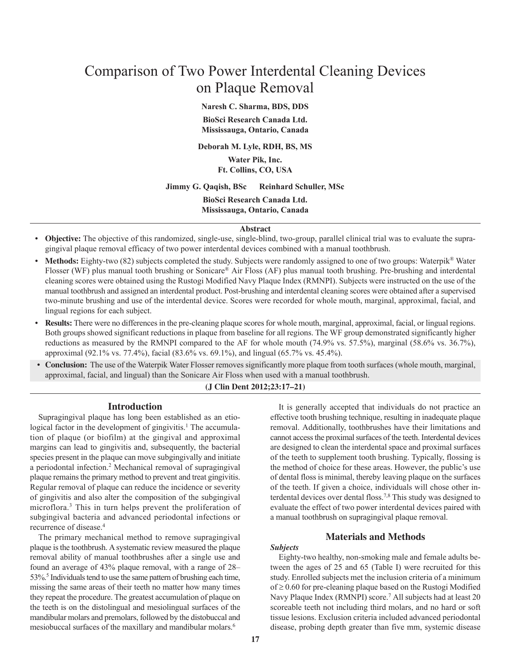# Comparison of Two Power Interdental Cleaning Devices on Plaque Removal

**Naresh C. Sharma, BDS, DDS**

**BioSci Research Canada Ltd. Mississauga, Ontario, Canada**

**Deborah M. Lyle, RDH, BS, MS**

**Water Pik, Inc. Ft. Collins, CO, USA**

**Jimmy G. Qaqish, BSc Reinhard Schuller, MSc**

**BioSci Research Canada Ltd. Mississauga, Ontario, Canada**

# **Abstract**

- **Objective:** The objective of this randomized, single-use, single-blind, two-group, parallel clinical trial was to evaluate the supragingival plaque removal efficacy of two power interdental devices combined with a manual toothbrush.
- Methods: Eighty-two (82) subjects completed the study. Subjects were randomly assigned to one of two groups: Waterpik<sup>®</sup> Water Flosser (WF) plus manual tooth brushing or Sonicare® Air Floss (AF) plus manual tooth brushing. Pre-brushing and interdental cleaning scores were obtained using the Rustogi Modified Navy Plaque Index (RMNPI). Subjects were instructed on the use of the manual toothbrush and assigned an interdental product. Post-brushing and interdental cleaning scores were obtained after a supervised two-minute brushing and use of the interdental device. Scores were recorded for whole mouth, marginal, approximal, facial, and lingual regions for each subject.
- **Results:** There were no differences in the pre-cleaning plaque scores for whole mouth, marginal, approximal, facial, or lingual regions. Both groups showed significant reductions in plaque from baseline for all regions. The WF group demonstrated significantly higher reductions as measured by the RMNPI compared to the AF for whole mouth (74.9% vs. 57.5%), marginal (58.6% vs. 36.7%), approximal (92.1% vs. 77.4%), facial (83.6% vs. 69.1%), and lingual (65.7% vs. 45.4%).
- **Conclusion:** The use of the Waterpik Water Flosser removes significantly more plaque from tooth surfaces (whole mouth, marginal, approximal, facial, and lingual) than the Sonicare Air Floss when used with a manual toothbrush.

### **(J Clin Dent 2012;23:17–21)**

## **Introduction**

Supragingival plaque has long been established as an etiological factor in the development of gingivitis.<sup>1</sup> The accumulation of plaque (or biofilm) at the gingival and approximal margins can lead to gingivitis and, subsequently, the bacterial species present in the plaque can move subgingivally and initiate a periodontal infection. <sup>2</sup> Mechanical removal of supragingival plaque remains the primary method to prevent and treat gingivitis. Regular removal of plaque can reduce the incidence or severity of gingivitis and also alter the composition of the subgingival microflora. <sup>3</sup> This in turn helps prevent the proliferation of subgingival bacteria and advanced periodontal infections or recurrence of disease. 4

The primary mechanical method to remove supragingival plaque is the toothbrush. A systematic review measured the plaque removal ability of manual toothbrushes after a single use and found an average of 43% plaque removal, with a range of 28– 53%.<sup>5</sup> Individuals tend to use the same pattern of brushing each time, missing the same areas of their teeth no matter how many times they repeat the procedure. The greatest accumulation of plaque on the teeth is on the distolingual and mesiolingual surfaces of the mandibular molars and premolars, followed by the distobuccal and mesiobuccal surfaces of the maxillary and mandibular molars. 6

It is generally accepted that individuals do not practice an effective tooth brushing technique, resulting in inadequate plaque removal. Additionally, toothbrushes have their limitations and cannot access the proximal surfaces of the teeth. Interdental devices are designed to clean the interdental space and proximal surfaces of the teeth to supplement tooth brushing. Typically, flossing is the method of choice for these areas. However, the public's use of dental floss is minimal, thereby leaving plaque on the surfaces of the teeth. If given a choice, individuals will chose other interdental devices over dental floss.<sup>7,8</sup> This study was designed to evaluate the effect of two power interdental devices paired with a manual toothbrush on supragingival plaque removal.

# **Materials and Methods**

# *Subjects*

Eighty-two healthy, non-smoking male and female adults between the ages of 25 and 65 (Table I) were recruited for this study. Enrolled subjects met the inclusion criteria of a minimum  $of \geq 0.60$  for pre-cleaning plaque based on the Rustogi Modified Navy Plaque Index (RMNPI) score. <sup>7</sup> All subjects had at least 20 scoreable teeth not including third molars, and no hard or soft tissue lesions. Exclusion criteria included advanced periodontal disease, probing depth greater than five mm, systemic disease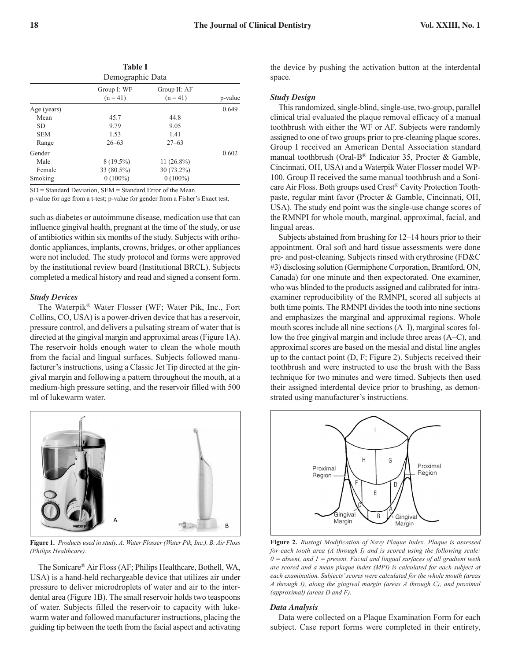| <b>Table I</b><br>Demographic Data |                           |                            |         |  |  |  |
|------------------------------------|---------------------------|----------------------------|---------|--|--|--|
|                                    | Group I: WF<br>$(n = 41)$ | Group II: AF<br>$(n = 41)$ | p-value |  |  |  |
| Age (years)                        |                           |                            | 0.649   |  |  |  |
| Mean                               | 45.7                      | 44.8                       |         |  |  |  |
| SD.                                | 9.79                      | 9.05                       |         |  |  |  |
| <b>SEM</b>                         | 1.53                      | 1.41                       |         |  |  |  |
| Range                              | $26 - 63$                 | $27 - 63$                  |         |  |  |  |
| Gender                             |                           |                            | 0.602   |  |  |  |
| Male                               | $8(19.5\%)$               | $11(26.8\%)$               |         |  |  |  |
| Female                             | 33 (80.5%)                | $30(73.2\%)$               |         |  |  |  |
| Smoking                            | $0(100\%)$                | $0(100\%)$                 |         |  |  |  |

SD = Standard Deviation, SEM = Standard Error of the Mean.

p-value for age from a t-test; p-value for gender from a Fisher's Exact test.

such as diabetes or autoimmune disease, medication use that can influence gingival health, pregnant at the time of the study, or use of antibiotics within six months of the study. Subjects with orthodontic appliances, implants, crowns, bridges, or other appliances were not included. The study protocol and forms were approved by the institutional review board (Institutional BRCL). Subjects completed a medical history and read and signed a consent form.

#### *Study Devices*

The Waterpik® Water Flosser (WF; Water Pik, Inc., Fort Collins, CO, USA) is a power-driven device that has a reservoir, pressure control, and delivers a pulsating stream of water that is directed at the gingival margin and approximal areas (Figure 1A). The reservoir holds enough water to clean the whole mouth from the facial and lingual surfaces. Subjects followed manufacturer's instructions, using a Classic Jet Tip directed at the gingival margin and following a pattern throughout the mouth, at a medium-high pressure setting, and the reservoir filled with 500 ml of lukewarm water.



'' '' '' '' *(Philips Healthcare).* **Figure 1.** *Products used in study. A. Water Flosser (Water Pik, Inc.). B. Air Floss*

The Sonicare® Air Floss(AF; Philips Healthcare, Bothell, WA, USA) is a hand-held rechargeable device that utilizes air under pressure to deliver microdroplets of water and air to the interdental area (Figure 1B). The small reservoir holds two teaspoons of water. Subjects filled the reservoir to capacity with lukewarm water and followed manufacturer instructions, placing the guiding tip between the teeth from the facial aspect and activating

the device by pushing the activation button at the interdental space.

#### *Study Design*

This randomized, single-blind, single-use, two-group, parallel clinical trial evaluated the plaque removal efficacy of a manual toothbrush with either the WF or AF. Subjects were randomly assigned to one of two groups prior to pre-cleaning plaque scores. Group I received an American Dental Association standard manual toothbrush (Oral-B® Indicator 35, Procter & Gamble, Cincinnati, OH, USA) and a Waterpik Water Flosser model WP-100. Group II received the same manual toothbrush and a Sonicare Air Floss. Both groups used Crest ® Cavity Protection Toothpaste, regular mint favor (Procter & Gamble, Cincinnati, OH, USA). The study end point was the single-use change scores of the RMNPI for whole mouth, marginal, approximal, facial, and lingual areas.

Subjects abstained from brushing for 12–14 hours prior to their appointment. Oral soft and hard tissue assessments were done pre- and post-cleaning. Subjects rinsed with erythrosine (FD&C #3) disclosing solution (Germiphene Corporation, Brantford, ON, Canada) for one minute and then expectorated. One examiner, who was blinded to the products assigned and calibrated for intraexaminer reproducibility of the RMNPI, scored all subjects at both time points. The RMNPI divides the tooth into nine sections and emphasizes the marginal and approximal regions. Whole mouth scores include all nine sections (A–I), marginal scores follow the free gingival margin and include three areas (A–C), and approximal scores are based on the mesial and distal line angles up to the contact point (D, F; Figure 2). Subjects received their toothbrush and were instructed to use the brush with the Bass technique for two minutes and were timed. Subjects then used their assigned interdental device prior to brushing, as demonstrated using manufacturer's instructions.



**Figure 2.** *Rustogi Modification of Navy Plaque Index. Plaque is assessed*<br>for each took area (A through I) and is accord wing the following each *for each tooth area (A through I) and is scored using the following scale: 0 = absent, and 1 = present. Facial and lingual surfaces of all gradient teeth are scored and a mean plaque index (MPI) is calculated for each subject at each examination. Subjects'scores were calculated for the whole mouth (areas A through I), along the gingival margin (areas A through C), and proximal (approximal) (areas D and F).*

#### *Data Analysis*

Data were collected on a Plaque Examination Form for each subject. Case report forms were completed in their entirety,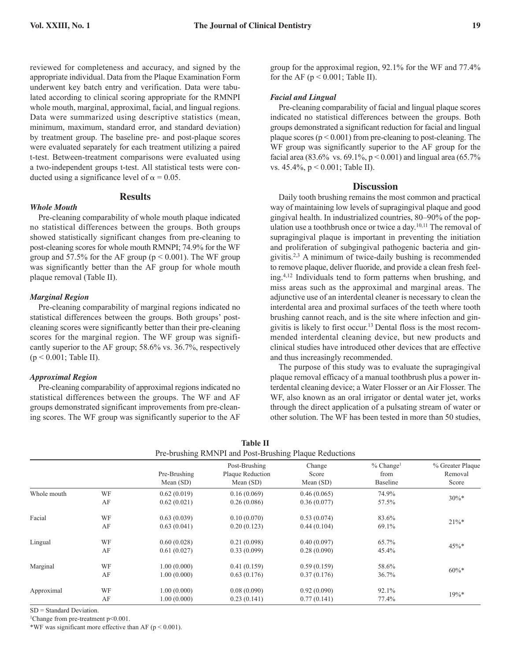reviewed for completeness and accuracy, and signed by the appropriate individual. Data from the Plaque Examination Form underwent key batch entry and verification. Data were tabulated according to clinical scoring appropriate for the RMNPI whole mouth, marginal, approximal, facial, and lingual regions. Data were summarized using descriptive statistics (mean, minimum, maximum, standard error, and standard deviation) by treatment group. The baseline pre- and post-plaque scores were evaluated separately for each treatment utilizing a paired t-test. Between-treatment comparisons were evaluated using a two-independent groups t-test. All statistical tests were conducted using a significance level of  $\alpha = 0.05$ .

# **Results**

Pre-cleaning comparability of whole mouth plaque indicated no statistical differences between the groups. Both groups showed statistically significant changes from pre-cleaning to post-cleaning scores for whole mouth RMNPI; 74.9% for the WF group and 57.5% for the AF group ( $p < 0.001$ ). The WF group was significantly better than the AF group for whole mouth plaque removal (Table II).

# *Marginal Region*

*Whole Mouth*

Pre-cleaning comparability of marginal regions indicated no statistical differences between the groups. Both groups' postcleaning scores were significantly better than their pre-cleaning scores for the marginal region. The WF group was significantly superior to the AF group; 58.6% vs. 36.7%, respectively (p < 0.001; Table II).

## *Approximal Region*

Pre-cleaning comparability of approximal regions indicated no statistical differences between the groups. The WF and AF groups demonstrated significant improvements from pre-cleaning scores. The WF group was significantly superior to the AF

group for the approximal region, 92.1% for the WF and 77.4% for the AF ( $p < 0.001$ ; Table II).

# *Facial and Lingual*

Pre-cleaning comparability of facial and lingual plaque scores indicated no statistical differences between the groups. Both groups demonstrated a significant reduction for facial and lingual plaque scores  $(p < 0.001)$  from pre-cleaning to post-cleaning. The WF group was significantly superior to the AF group for the facial area (83.6% vs. 69.1%,  $p < 0.001$ ) and lingual area (65.7% vs. 45.4%, p < 0.001; Table II).

# **Discussion**

Daily tooth brushing remains the most common and practical way of maintaining low levels of supragingival plaque and good gingival health. In industrialized countries, 80–90% of the population use a toothbrush once or twice a day. 10,11 The removal of supragingival plaque is important in preventing the initiation and proliferation of subgingival pathogenic bacteria and gingivitis. 2,3 A minimum of twice-daily bushing is recommended to remove plaque, deliver fluoride, and provide a clean fresh feeling. 4,12 Individuals tend to form patterns when brushing, and miss areas such as the approximal and marginal areas. The adjunctive use of an interdental cleaner is necessary to clean the interdental area and proximal surfaces of the teeth where tooth brushing cannot reach, and is the site where infection and gingivitis is likely to first occur. <sup>13</sup> Dental floss is the most recommended interdental cleaning device, but new products and clinical studies have introduced other devices that are effective and thus increasingly recommended.

The purpose of this study was to evaluate the supragingival plaque removal efficacy of a manual toothbrush plus a power interdental cleaning device; a Water Flosser or an Air Flosser. The WF, also known as an oral irrigator or dental water jet, works through the direct application of a pulsating stream of water or other solution. The WF has been tested in more than 50 studies,

| <b>Table II</b>                                        |    |                             |                                                  |                                |                                             |                                      |  |  |  |
|--------------------------------------------------------|----|-----------------------------|--------------------------------------------------|--------------------------------|---------------------------------------------|--------------------------------------|--|--|--|
| Pre-brushing RMNPI and Post-Brushing Plaque Reductions |    |                             |                                                  |                                |                                             |                                      |  |  |  |
|                                                        |    | Pre-Brushing<br>Mean $(SD)$ | Post-Brushing<br>Plaque Reduction<br>Mean $(SD)$ | Change<br>Score<br>Mean $(SD)$ | $%$ Change <sup>1</sup><br>from<br>Baseline | % Greater Plaque<br>Removal<br>Score |  |  |  |
| Whole mouth                                            | WF | 0.62(0.019)                 | 0.16(0.069)                                      | 0.46(0.065)                    | 74.9%                                       | $30\%*$                              |  |  |  |
|                                                        | AF | 0.62(0.021)                 | 0.26(0.086)                                      | 0.36(0.077)                    | 57.5%                                       |                                      |  |  |  |
| Facial                                                 | WF | 0.63(0.039)                 | 0.10(0.070)                                      | 0.53(0.074)                    | 83.6%                                       | $21\%*$                              |  |  |  |
|                                                        | AF | 0.63(0.041)                 | 0.20(0.123)                                      | 0.44(0.104)                    | 69.1%                                       |                                      |  |  |  |
| Lingual                                                | WF | 0.60(0.028)                 | 0.21(0.098)                                      | 0.40(0.097)                    | 65.7%                                       | $45\%*$                              |  |  |  |
|                                                        | AF | 0.61(0.027)                 | 0.33(0.099)                                      | 0.28(0.090)                    | 45.4%                                       |                                      |  |  |  |
| Marginal                                               | WF | 1.00(0.000)                 | 0.41(0.159)                                      | 0.59(0.159)                    | 58.6%                                       | $60\%*$                              |  |  |  |
|                                                        | AF | 1.00(0.000)                 | 0.63(0.176)                                      | 0.37(0.176)                    | 36.7%                                       |                                      |  |  |  |
| Approximal                                             | WF | 1.00(0.000)                 | 0.08(0.090)                                      | 0.92(0.090)                    | 92.1%                                       | $19\%*$                              |  |  |  |
|                                                        | AF | 1.00(0.000)                 | 0.23(0.141)                                      | 0.77(0.141)                    | 77.4%                                       |                                      |  |  |  |

SD = Standard Deviation.

<sup>1</sup>Change from pre-treatment p<0.001.

\*WF was significant more effective than AF ( $p < 0.001$ ).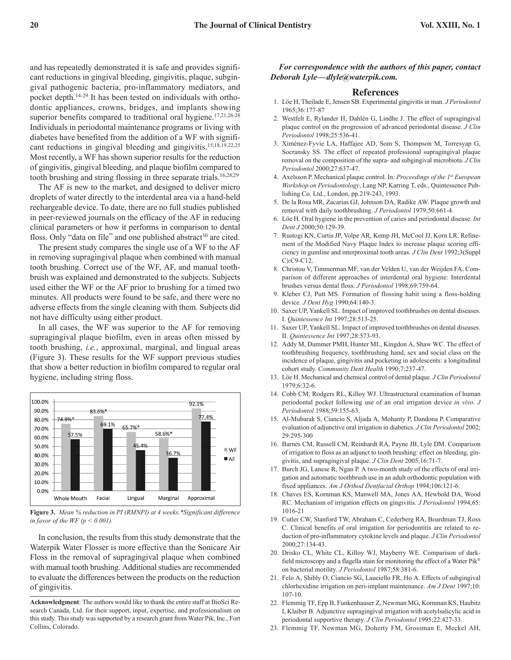and has repeatedly demonstrated it is safe and provides significant reductions in gingival bleeding, gingivitis, plaque, subgingival pathogenic bacteria, pro-inflammatory mediators, and pocket depth. 14-29 It has been tested on individuals with orthodontic appliances, crowns, bridges, and implants showing superior benefits compared to traditional oral hygiene.<sup>17,21,26-28</sup> Individuals in periodontal maintenance programs or living with diabetes have benefited from the addition of a WF with significant reductions in gingival bleeding and gingivitis. 15,18,19,22,25 Most recently, a WF has shown superior results for the reduction of gingivitis, gingival bleeding, and plaque biofilm compared to tooth brushing and string flossing in three separate trials. 16,28,29

The AF is new to the market, and designed to deliver micro droplets of water directly to the interdental area via a hand-held rechargeable device. To date, there are no full studies published in peer-reviewed journals on the efficacy of the AF in reducing clinical parameters or how it performs in comparison to dental floss. Only "data on file" and one published abstract<sup>30</sup> are cited.

The present study compares the single use of a WF to the AF in removing supragingival plaque when combined with manual tooth brushing. Correct use of the WF, AF, and manual toothbrush was explained and demonstrated to the subjects. Subjects used either the WF or the AF prior to brushing for a timed two minutes. All products were found to be safe, and there were no adverse effects from the single cleaning with them. Subjects did not have difficulty using either product.

In all cases, the WF was superior to the AF for removing supragingival plaque biofilm, even in areas often missed by tooth brushing, *i.e.*, approximal, marginal, and lingual areas (Figure 3). These results for the WF support previous studies that show a better reduction in biofilm compared to regular oral hygiene, including string floss.



**Figure 3.** *Mean % reduction in PI (RMNPI) at 4 weeks.\*Significant difference in favor of the WF*  $(p < 0.001)$ *.* 

In conclusion, the results from this study demonstrate that the Waterpik Water Flosser is more effective than the Sonicare Air Floss in the removal of supragingival plaque when combined with manual tooth brushing. Additional studies are recommended to evaluate the differences between the products on the reduction of gingivitis.

*For correspondence with the authors of this paper, contact Deborah Lyle—dlyle@waterpik.com.*

# **References**

- 1. Löe H, Theilade E, Jensen SB. Experimental gingivitis in man. *J Periodontol* 1965;36:177-87
- 2. Westfelt E, Rylander H, Dahlén G, Lindhe J. The effect of supragingival plaque control on the progression of advanced periodontal disease. *J Clin Periodontol* 1998;25:536-41.
- 3. Ximénez-Fyvie LA, Haffajee AD, Som S, Thompson M, Torresyap G, Socransky SS. The effect of repeated professional supragingival plaque removal on the composition of the supra- and subgingival microbiota. *J Clin Periodontol* 2000;27:637-47.
- 4. Axelsson P. Mechanical plaque control. In: *Proceedings of the 1st European Workshop on Periodontology*, Lang NP, Karring T, eds., Quintessence Publishing Co. Ltd., London, pp.219-243, 1993.
- 5. De la Rosa MR, Zacarias GJ, Johnson DA, Radike AW. Plaque growth and removal with daily toothbrushing. *J Periodontol* 1979;50:661-4.
- 6. Löe H. Oral hygiene in the prevention of caries and periodontal disease. *Int Dent J* 2000;50:129-39.
- 7. Rustogi KN, Curtis JP, Volpe AR, Kemp JH, McCool JJ, Korn LR. Refinement of the Modified Navy Plaque Index to increase plaque scoring efficiency in gumline and interproximal tooth areas. *J Clin Dent* 1992;3(Suppl C):C9-C12.
- 8. Christou V, Timmerman MF, van der Velden U, van der Weijden FA. Comparison of different approaches of interdental oral hygiene: Interdental brushes versus dental floss. *J Periodontol* 1998;69:759-64.
- 9. Kleber CJ, Putt MS. Formation of flossing habit using a floss-holding device. *J Dent Hyg* 1990;64:140-3.
- 10. Saxer UP, Yankell SL. Impact of improved toothbrushes on dental diseases. I. *Quintessence Int* 1997;28:513-25.
- 11. Saxer UP, Yankell SL. Impact of improved toothbrushes on dental diseases. II. *Quintessence Int* 1997;28:573-93.
- 12. Addy M, Dummer PMH, Hunter ML, Kingdon A, Shaw WC. The effect of toothbrushing frequency, toothbrushing hand, sex and social class on the incidence of plaque, gingivitis and pocketing in adolescents: a longitudinal cohort study. *Community Dent Health* 1990;7:237-47.
- 13. Löe H. Mechanical and chemical control of dental plaque. *J Clin Periodontol* 1979;6:32-6.
- 14. Cobb CM, Rodgers RL, Killoy WJ. Ultrastructural examination of human periodontal pocket following use of an oral irrigation device *in vivo. J Periodontol* 1988;59:155-63.
- 15. Al-Mubarak S, Ciancio S, Aljada A, Mohanty P, Dandona P. Comparative evaluation of adjunctive oral irrigation in diabetics. *J Clin Periodontol* 2002; 29:295-300
- 16. Barnes CM, Russell CM, Reinhardt RA, Payne JB, Lyle DM. Comparison of irrigation to floss as an adjunct to tooth brushing: effect on bleeding, gingivitis, and supragingival plaque. *J Clin Dent* 2005;16:71-7.
- 17. Burch JG, Lanese R, Ngan P. A two-month study of the effects of oral irrigation and automatic toothbrush use in an adult orthodontic population with fixed appliances. *Am J Orthod Dentfacial Orthop* 1994;106:121-6.
- 18. Chaves ES, Kornman KS, Manwell MA, Jones AA, Hewbold DA, Wood RC. Mechanism of irrigation effects on gingivitis. *J Periodontol* 1994;65: 1016-21
- 19. Cutler CW, Stanford TW, Abraham C, Cederberg RA, Boardman TJ, Ross C. Clinical benefits of oral irrigation for periodontitis are related to reduction of pro-inflammatory cytokine levels and plaque. *J Clin Periodontol* 2000;27:134-43.
- 20. Drisko CL, White CL, Killoy WJ, Mayberry WE. Comparison of darkfield microscopy and a flagella stain for monitoring the effect of a Water Pik® on bacterial motility. *J Periodontol* 1987;58:381-6.
- 21. Felo A, Shibly O, Ciancio SG, Lauciello FR, Ho A. Effects of subgingival chlorhexidine irrigation on peri-implant maintenance. *Am J Dent* 1997;10: 107-10.
- 22. Flemmig TF, Epp B, Funkenhauser Z, Newman MG, Kornman KS, Haubitz I, Klaiber B. Adjunctive supragingival irrigation with acetylsalicylic acid in periodontal supportive therapy. *J Clin Periodontol* 1995;22:427-33.
- 23. Flemmig TF, Newman MG, Doherty FM, Grossman E, Meckel AH,

**Acknowledgment**: The authors would like to thank the entire staff at BioSci Research Canada, Ltd. for their support, input, expertise, and professionalism on this study. This study was supported by a research grant from Water Pik, Inc., Fort Collins, Colorado.